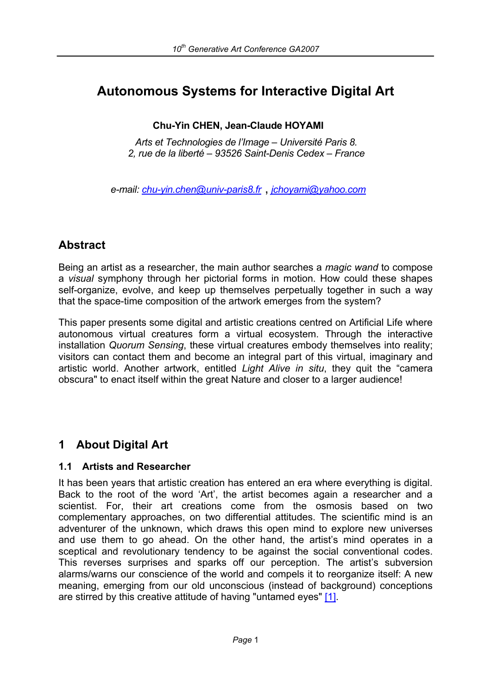# **Autonomous Systems for Interactive Digital Art**

## **Chu-Yin CHEN, Jean-Claude HOYAMI**

*Arts et Technologies de l'Image – Université Paris 8. 2, rue de la liberté – 93526 Saint-Denis Cedex – France* 

*e-mail: chu-yin.chen@univ-paris8.fr* , *jchoyami@yahoo.com* 

## **Abstract**

Being an artist as a researcher, the main author searches a *magic wand* to compose a *visual* symphony through her pictorial forms in motion. How could these shapes self-organize, evolve, and keep up themselves perpetually together in such a way that the space-time composition of the artwork emerges from the system?

This paper presents some digital and artistic creations centred on Artificial Life where autonomous virtual creatures form a virtual ecosystem. Through the interactive installation *Quorum Sensing*, these virtual creatures embody themselves into reality; visitors can contact them and become an integral part of this virtual, imaginary and artistic world. Another artwork, entitled *Light Alive in situ*, they quit the "camera obscura" to enact itself within the great Nature and closer to a larger audience!

## **1 About Digital Art**

## **1.1 Artists and Researcher**

It has been years that artistic creation has entered an era where everything is digital. Back to the root of the word 'Art', the artist becomes again a researcher and a scientist. For, their art creations come from the osmosis based on two complementary approaches, on two differential attitudes. The scientific mind is an adventurer of the unknown, which draws this open mind to explore new universes and use them to go ahead. On the other hand, the artist's mind operates in a sceptical and revolutionary tendency to be against the social conventional codes. This reverses surprises and sparks off our perception. The artist's subversion alarms/warns our conscience of the world and compels it to reorganize itself: A new meaning, emerging from our old unconscious (instead of background) conceptions are stirred by this creative attitude of having "untamed eyes" [1].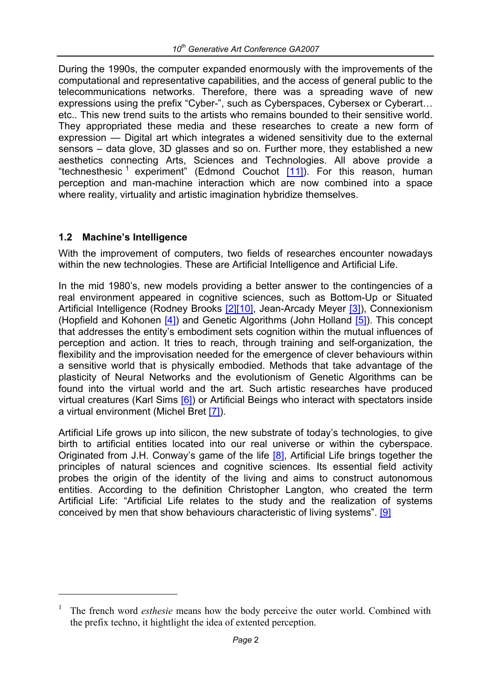During the 1990s, the computer expanded enormously with the improvements of the computational and representative capabilities, and the access of general public to the telecommunications networks. Therefore, there was a spreading wave of new expressions using the prefix "Cyber-", such as Cyberspaces, Cybersex or Cyberart… etc.. This new trend suits to the artists who remains bounded to their sensitive world. They appropriated these media and these researches to create a new form of expression — Digital art which integrates a widened sensitivity due to the external sensors – data glove, 3D glasses and so on. Further more, they established a new aesthetics connecting Arts, Sciences and Technologies. All above provide a "technesthesic<sup>1</sup> experiment" (Edmond Couchot  $[11]$ ). For this reason, human perception and man-machine interaction which are now combined into a space where reality, virtuality and artistic imagination hybridize themselves.

### **1.2 Machine's Intelligence**

l

With the improvement of computers, two fields of researches encounter nowadays within the new technologies. These are Artificial Intelligence and Artificial Life.

In the mid 1980's, new models providing a better answer to the contingencies of a real environment appeared in cognitive sciences, such as Bottom-Up or Situated Artificial Intelligence (Rodney Brooks [2][10], Jean-Arcady Meyer [3]), Connexionism (Hopfield and Kohonen [4]) and Genetic Algorithms (John Holland [5]). This concept that addresses the entity's embodiment sets cognition within the mutual influences of perception and action. It tries to reach, through training and self-organization, the flexibility and the improvisation needed for the emergence of clever behaviours within a sensitive world that is physically embodied. Methods that take advantage of the plasticity of Neural Networks and the evolutionism of Genetic Algorithms can be found into the virtual world and the art. Such artistic researches have produced virtual creatures (Karl Sims [6]) or Artificial Beings who interact with spectators inside a virtual environment (Michel Bret [7]).

Artificial Life grows up into silicon, the new substrate of today's technologies, to give birth to artificial entities located into our real universe or within the cyberspace. Originated from J.H. Conway's game of the life [8], Artificial Life brings together the principles of natural sciences and cognitive sciences. Its essential field activity probes the origin of the identity of the living and aims to construct autonomous entities. According to the definition Christopher Langton, who created the term Artificial Life: "Artificial Life relates to the study and the realization of systems conceived by men that show behaviours characteristic of living systems". [9]

<sup>1</sup> The french word *esthesie* means how the body perceive the outer world. Combined with the prefix techno, it hightlight the idea of extented perception.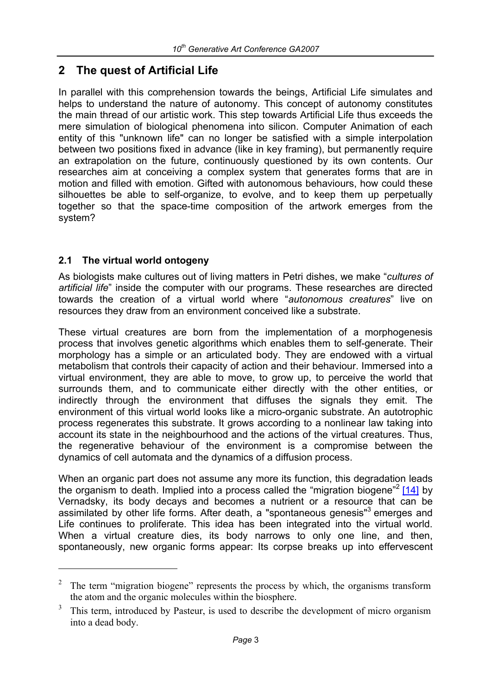## **2 The quest of Artificial Life**

In parallel with this comprehension towards the beings, Artificial Life simulates and helps to understand the nature of autonomy. This concept of autonomy constitutes the main thread of our artistic work. This step towards Artificial Life thus exceeds the mere simulation of biological phenomena into silicon. Computer Animation of each entity of this "unknown life" can no longer be satisfied with a simple interpolation between two positions fixed in advance (like in key framing), but permanently require an extrapolation on the future, continuously questioned by its own contents. Our researches aim at conceiving a complex system that generates forms that are in motion and filled with emotion. Gifted with autonomous behaviours, how could these silhouettes be able to self-organize, to evolve, and to keep them up perpetually together so that the space-time composition of the artwork emerges from the system?

### **2.1 The virtual world ontogeny**

l

As biologists make cultures out of living matters in Petri dishes, we make "*cultures of artificial life*" inside the computer with our programs. These researches are directed towards the creation of a virtual world where "*autonomous creatures*" live on resources they draw from an environment conceived like a substrate.

These virtual creatures are born from the implementation of a morphogenesis process that involves genetic algorithms which enables them to self-generate. Their morphology has a simple or an articulated body. They are endowed with a virtual metabolism that controls their capacity of action and their behaviour. Immersed into a virtual environment, they are able to move, to grow up, to perceive the world that surrounds them, and to communicate either directly with the other entities, or indirectly through the environment that diffuses the signals they emit. The environment of this virtual world looks like a micro-organic substrate. An autotrophic process regenerates this substrate. It grows according to a nonlinear law taking into account its state in the neighbourhood and the actions of the virtual creatures. Thus, the regenerative behaviour of the environment is a compromise between the dynamics of cell automata and the dynamics of a diffusion process.

When an organic part does not assume any more its function, this degradation leads the organism to death. Implied into a process called the "migration biogene"<sup>2</sup> [14] by Vernadsky, its body decays and becomes a nutrient or a resource that can be assimilated by other life forms. After death, a "spontaneous genesis"<sup>3</sup> emerges and Life continues to proliferate. This idea has been integrated into the virtual world. When a virtual creature dies, its body narrows to only one line, and then, spontaneously, new organic forms appear: Its corpse breaks up into effervescent

<sup>&</sup>lt;sup>2</sup> The term "migration biogene" represents the process by which, the organisms transform the atom and the organic molecules within the biosphere.

<sup>3</sup> This term, introduced by Pasteur, is used to describe the development of micro organism into a dead body.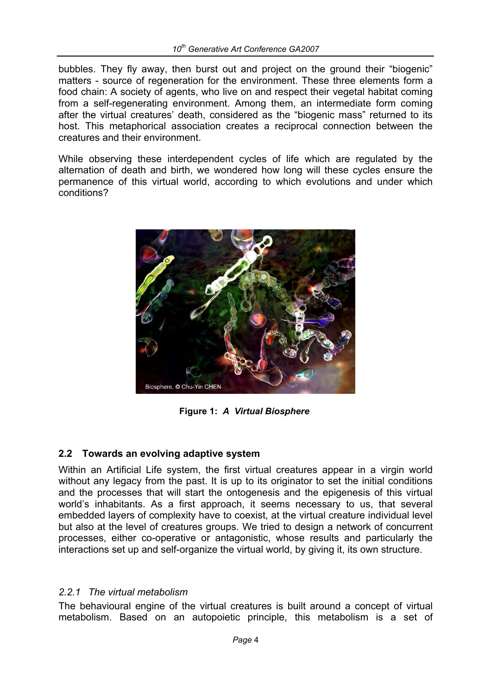bubbles. They fly away, then burst out and project on the ground their "biogenic" matters - source of regeneration for the environment. These three elements form a food chain: A society of agents, who live on and respect their vegetal habitat coming from a self-regenerating environment. Among them, an intermediate form coming after the virtual creatures' death, considered as the "biogenic mass" returned to its host. This metaphorical association creates a reciprocal connection between the creatures and their environment.

While observing these interdependent cycles of life which are regulated by the alternation of death and birth, we wondered how long will these cycles ensure the permanence of this virtual world, according to which evolutions and under which conditions?



**Figure 1:** *A Virtual Biosphere* 

## **2.2 Towards an evolving adaptive system**

Within an Artificial Life system, the first virtual creatures appear in a virgin world without any legacy from the past. It is up to its originator to set the initial conditions and the processes that will start the ontogenesis and the epigenesis of this virtual world's inhabitants. As a first approach, it seems necessary to us, that several embedded layers of complexity have to coexist, at the virtual creature individual level but also at the level of creatures groups. We tried to design a network of concurrent processes, either co-operative or antagonistic, whose results and particularly the interactions set up and self-organize the virtual world, by giving it, its own structure.

### *2.2.1 The virtual metabolism*

The behavioural engine of the virtual creatures is built around a concept of virtual metabolism. Based on an autopoietic principle, this metabolism is a set of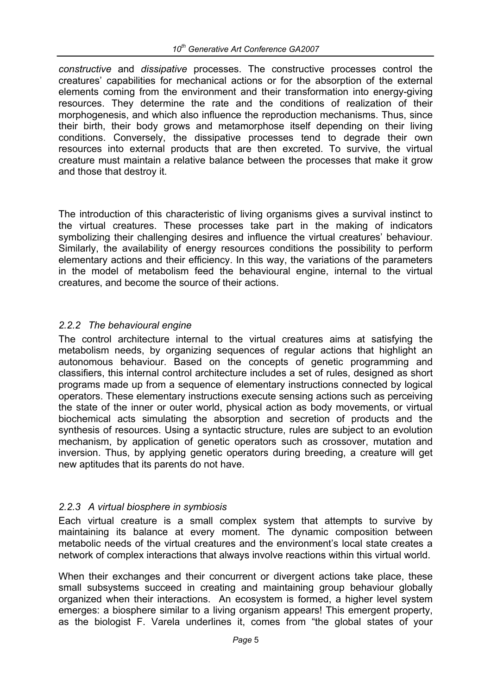*constructive* and *dissipative* processes. The constructive processes control the creatures' capabilities for mechanical actions or for the absorption of the external elements coming from the environment and their transformation into energy-giving resources. They determine the rate and the conditions of realization of their morphogenesis, and which also influence the reproduction mechanisms. Thus, since their birth, their body grows and metamorphose itself depending on their living conditions. Conversely, the dissipative processes tend to degrade their own resources into external products that are then excreted. To survive, the virtual creature must maintain a relative balance between the processes that make it grow and those that destroy it.

The introduction of this characteristic of living organisms gives a survival instinct to the virtual creatures. These processes take part in the making of indicators symbolizing their challenging desires and influence the virtual creatures' behaviour. Similarly, the availability of energy resources conditions the possibility to perform elementary actions and their efficiency. In this way, the variations of the parameters in the model of metabolism feed the behavioural engine, internal to the virtual creatures, and become the source of their actions.

### *2.2.2 The behavioural engine*

The control architecture internal to the virtual creatures aims at satisfying the metabolism needs, by organizing sequences of regular actions that highlight an autonomous behaviour. Based on the concepts of genetic programming and classifiers, this internal control architecture includes a set of rules, designed as short programs made up from a sequence of elementary instructions connected by logical operators. These elementary instructions execute sensing actions such as perceiving the state of the inner or outer world, physical action as body movements, or virtual biochemical acts simulating the absorption and secretion of products and the synthesis of resources. Using a syntactic structure, rules are subject to an evolution mechanism, by application of genetic operators such as crossover, mutation and inversion. Thus, by applying genetic operators during breeding, a creature will get new aptitudes that its parents do not have.

### *2.2.3 A virtual biosphere in symbiosis*

Each virtual creature is a small complex system that attempts to survive by maintaining its balance at every moment. The dynamic composition between metabolic needs of the virtual creatures and the environment's local state creates a network of complex interactions that always involve reactions within this virtual world.

When their exchanges and their concurrent or divergent actions take place, these small subsystems succeed in creating and maintaining group behaviour globally organized when their interactions. An ecosystem is formed, a higher level system emerges: a biosphere similar to a living organism appears! This emergent property, as the biologist F. Varela underlines it, comes from "the global states of your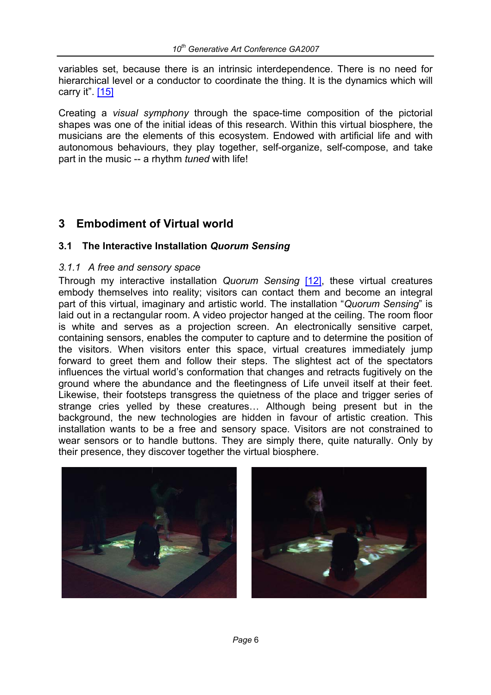variables set, because there is an intrinsic interdependence. There is no need for hierarchical level or a conductor to coordinate the thing. It is the dynamics which will carry it" $[15]$ 

Creating a *visual symphony* through the space-time composition of the pictorial shapes was one of the initial ideas of this research. Within this virtual biosphere, the musicians are the elements of this ecosystem. Endowed with artificial life and with autonomous behaviours, they play together, self-organize, self-compose, and take part in the music -- a rhythm *tuned* with life!

## **3 Embodiment of Virtual world**

### **3.1 The Interactive Installation** *Quorum Sensing*

#### *3.1.1 A free and sensory space*

Through my interactive installation *Quorum Sensing* [12], these virtual creatures embody themselves into reality; visitors can contact them and become an integral part of this virtual, imaginary and artistic world. The installation "*Quorum Sensing*" is laid out in a rectangular room. A video projector hanged at the ceiling. The room floor is white and serves as a projection screen. An electronically sensitive carpet, containing sensors, enables the computer to capture and to determine the position of the visitors. When visitors enter this space, virtual creatures immediately jump forward to greet them and follow their steps. The slightest act of the spectators influences the virtual world's conformation that changes and retracts fugitively on the ground where the abundance and the fleetingness of Life unveil itself at their feet. Likewise, their footsteps transgress the quietness of the place and trigger series of strange cries yelled by these creatures… Although being present but in the background, the new technologies are hidden in favour of artistic creation. This installation wants to be a free and sensory space. Visitors are not constrained to wear sensors or to handle buttons. They are simply there, quite naturally. Only by their presence, they discover together the virtual biosphere.

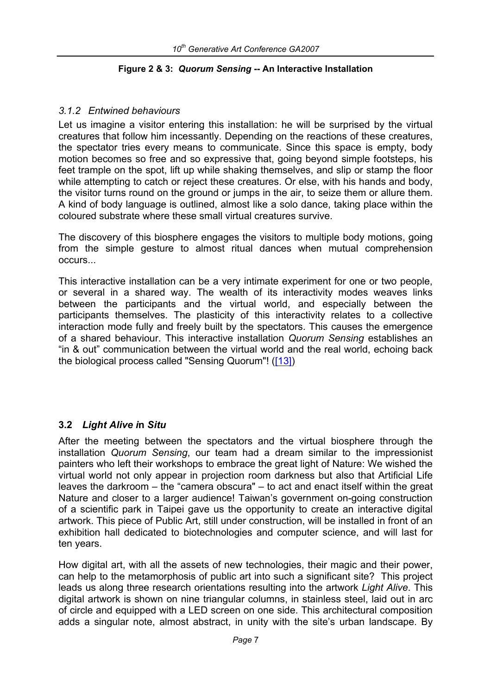#### **Figure 2 & 3:** *Quorum Sensing* **-- An Interactive Installation**

#### *3.1.2 Entwined behaviours*

Let us imagine a visitor entering this installation: he will be surprised by the virtual creatures that follow him incessantly. Depending on the reactions of these creatures, the spectator tries every means to communicate. Since this space is empty, body motion becomes so free and so expressive that, going beyond simple footsteps, his feet trample on the spot, lift up while shaking themselves, and slip or stamp the floor while attempting to catch or reject these creatures. Or else, with his hands and body, the visitor turns round on the ground or jumps in the air, to seize them or allure them. A kind of body language is outlined, almost like a solo dance, taking place within the coloured substrate where these small virtual creatures survive.

The discovery of this biosphere engages the visitors to multiple body motions, going from the simple gesture to almost ritual dances when mutual comprehension occurs...

This interactive installation can be a very intimate experiment for one or two people, or several in a shared way. The wealth of its interactivity modes weaves links between the participants and the virtual world, and especially between the participants themselves. The plasticity of this interactivity relates to a collective interaction mode fully and freely built by the spectators. This causes the emergence of a shared behaviour. This interactive installation *Quorum Sensing* establishes an "in & out" communication between the virtual world and the real world, echoing back the biological process called "Sensing Quorum"! ([13])

### **3.2** *Light Alive i***n** *Situ*

After the meeting between the spectators and the virtual biosphere through the installation *Quorum Sensing*, our team had a dream similar to the impressionist painters who left their workshops to embrace the great light of Nature: We wished the virtual world not only appear in projection room darkness but also that Artificial Life leaves the darkroom – the "camera obscura" – to act and enact itself within the great Nature and closer to a larger audience! Taiwan's government on-going construction of a scientific park in Taipei gave us the opportunity to create an interactive digital artwork. This piece of Public Art, still under construction, will be installed in front of an exhibition hall dedicated to biotechnologies and computer science, and will last for ten years.

How digital art, with all the assets of new technologies, their magic and their power, can help to the metamorphosis of public art into such a significant site? This project leads us along three research orientations resulting into the artwork *Light Alive*. This digital artwork is shown on nine triangular columns, in stainless steel, laid out in arc of circle and equipped with a LED screen on one side. This architectural composition adds a singular note, almost abstract, in unity with the site's urban landscape. By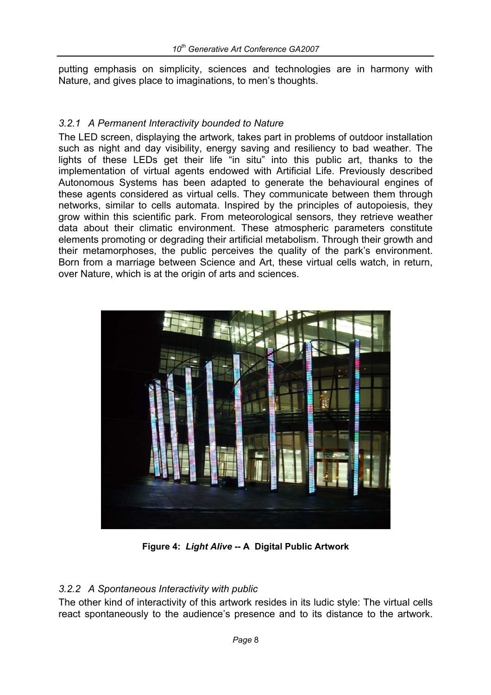putting emphasis on simplicity, sciences and technologies are in harmony with Nature, and gives place to imaginations, to men's thoughts.

### *3.2.1 A Permanent Interactivity bounded to Nature*

The LED screen, displaying the artwork, takes part in problems of outdoor installation such as night and day visibility, energy saving and resiliency to bad weather. The lights of these LEDs get their life "in situ" into this public art, thanks to the implementation of virtual agents endowed with Artificial Life. Previously described Autonomous Systems has been adapted to generate the behavioural engines of these agents considered as virtual cells. They communicate between them through networks, similar to cells automata. Inspired by the principles of autopoiesis, they grow within this scientific park. From meteorological sensors, they retrieve weather data about their climatic environment. These atmospheric parameters constitute elements promoting or degrading their artificial metabolism. Through their growth and their metamorphoses, the public perceives the quality of the park's environment. Born from a marriage between Science and Art, these virtual cells watch, in return, over Nature, which is at the origin of arts and sciences.



**Figure 4:** *Light Alive* **-- A Digital Public Artwork** 

### *3.2.2 A Spontaneous Interactivity with public*

The other kind of interactivity of this artwork resides in its ludic style: The virtual cells react spontaneously to the audience's presence and to its distance to the artwork.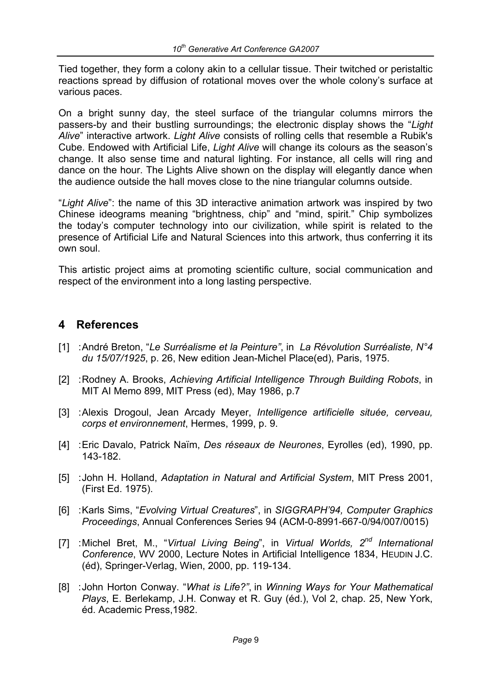Tied together, they form a colony akin to a cellular tissue. Their twitched or peristaltic reactions spread by diffusion of rotational moves over the whole colony's surface at various paces.

On a bright sunny day, the steel surface of the triangular columns mirrors the passers-by and their bustling surroundings; the electronic display shows the "*Light Alive*" interactive artwork. *Light Alive* consists of rolling cells that resemble a Rubik's Cube. Endowed with Artificial Life, *Light Alive* will change its colours as the season's change. It also sense time and natural lighting. For instance, all cells will ring and dance on the hour. The Lights Alive shown on the display will elegantly dance when the audience outside the hall moves close to the nine triangular columns outside.

"*Light Alive*": the name of this 3D interactive animation artwork was inspired by two Chinese ideograms meaning "brightness, chip" and "mind, spirit." Chip symbolizes the today's computer technology into our civilization, while spirit is related to the presence of Artificial Life and Natural Sciences into this artwork, thus conferring it its own soul.

This artistic project aims at promoting scientific culture, social communication and respect of the environment into a long lasting perspective.

## **4 References**

- [1] : André Breton, "*Le Surréalisme et la Peinture"*, in *La Révolution Surréaliste, N°4 du 15/07/1925*, p. 26, New edition Jean-Michel Place(ed), Paris, 1975.
- [2] : Rodney A. Brooks, *Achieving Artificial Intelligence Through Building Robots*, in MIT AI Memo 899, MIT Press (ed), May 1986, p.7
- [3] : Alexis Drogoul, Jean Arcady Meyer, *Intelligence artificielle située, cerveau, corps et environnement*, Hermes, 1999, p. 9.
- [4] : Eric Davalo, Patrick Naïm, *Des réseaux de Neurones*, Eyrolles (ed), 1990, pp. 143-182.
- [5] : John H. Holland, *Adaptation in Natural and Artificial System*, MIT Press 2001, (First Ed. 1975).
- [6] : Karls Sims, "*Evolving Virtual Creatures*", in *SIGGRAPH'94, Computer Graphics Proceedings*, Annual Conferences Series 94 (ACM-0-8991-667-0/94/007/0015)
- [7] : Michel Bret, M., "*Virtual Living Being*", in *Virtual Worlds, 2nd International Conference*, WV 2000, Lecture Notes in Artificial Intelligence 1834, HEUDIN J.C. (éd), Springer-Verlag, Wien, 2000, pp. 119-134.
- [8] : John Horton Conway. "*What is Life?"*, in *Winning Ways for Your Mathematical Plays*, E. Berlekamp, J.H. Conway et R. Guy (éd.), Vol 2, chap. 25, New York, éd. Academic Press,1982.